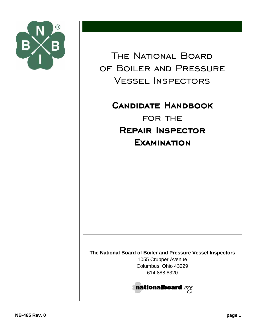

The National Board of Boiler and Pressure Vessel Inspectors

**CANDIDATE HANDBOOK** for the **REPAIR INSPECTOR EXAMINATION** 

**The National Board of Boiler and Pressure Vessel Inspectors**

1055 Crupper Avenue Columbus, Ohio 43229 614.888.8320

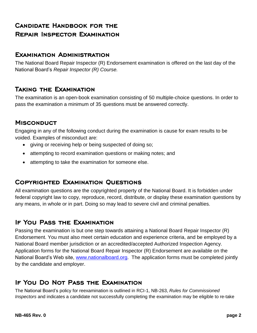# **CANDIDATE HANDBOOK FOR THE REPAIR INSPECTOR EXAMINATION**

#### **EXAMINATION ADMINISTRATION**

The National Board Repair Inspector (R) Endorsement examination is offered on the last day of the National Board's *Repair Inspector (R) Course.*

#### **TAKING THE EXAMINATION**

The examination is an open-book examination consisting of 50 multiple-choice questions. In order to pass the examination a minimum of 35 questions must be answered correctly.

#### **MISCONDUCT**

Engaging in any of the following conduct during the examination is cause for exam results to be voided. Examples of misconduct are:

- giving or receiving help or being suspected of doing so;
- attempting to record examination questions or making notes; and
- attempting to take the examination for someone else.

### **COPYRIGHTED EXAMINATION QUESTIONS**

All examination questions are the copyrighted property of the National Board. It is forbidden under federal copyright law to copy, reproduce, record, distribute, or display these examination questions by any means, in whole or in part. Doing so may lead to severe civil and criminal penalties.

### IF YOU PASS THE EXAMINATION

Passing the examination is but one step towards attaining a National Board Repair Inspector (R) Endorsement. You must also meet certain education and experience criteria, and be employed by a National Board member jurisdiction or an accredited/accepted Authorized Inspection Agency. Application forms for the National Board Repair Inspector (R) Endorsement are available on the National Board's Web site, [www.nationalboard.org.](http://www.nationalboard.org/) The application forms must be completed jointly by the candidate and employer.

## IF YOU DO NOT PASS THE EXAMINATION

The National Board's policy for reexamination is outlined in RCI-1, NB-263, *Rules for Commissioned Inspectors* and indicates a candidate not successfully completing the examination may be eligible to re-take